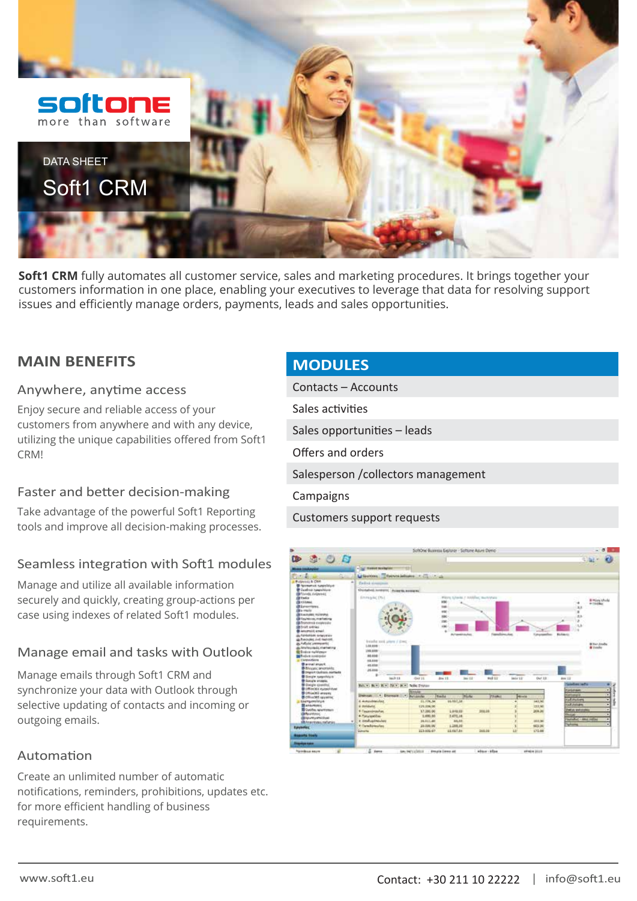

**Soft1 CRM** fully automates all customer service, sales and marketing procedures. It brings together your customers information in one place, enabling your executives to leverage that data for resolving support issues and efficiently manage orders, payments, leads and sales opportunities.

## **MAIN BENEFITS**

#### Anywhere, anytime access

Enjoy secure and reliable access of your customers from anywhere and with any device, utilizing the unique capabilities offered from Soft1 CRM!

#### Faster and better decision-making

Take advantage of the powerful Soft1 Reporting tools and improve all decision-making processes.

#### Seamless integration with Soft1 modules

Manage and utilize all available information securely and quickly, creating group-actions per case using indexes of related Soft1 modules.

#### Manage email and tasks with Outlook

Manage emails through Soft1 CRM and synchronize your data with Outlook through selective updating of contacts and incoming or outgoing emails.

#### Automation

Create an unlimited number of automatic notifications, reminders, prohibitions, updates etc. for more efficient handling of business requirements.

### **MODULES**

Contacts – Accounts Sales activities Sales opportunities – leads Offers and orders Salesperson /collectors management **Campaigns** Customers support requests